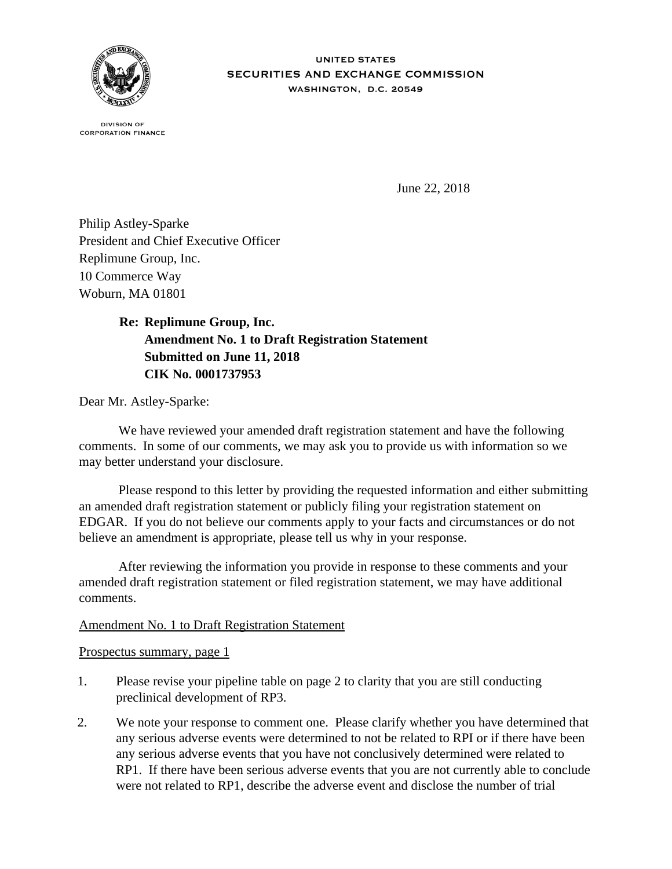

**IINITED STATES** SECURITIES AND EXCHANGE COMMISSION WASHINGTON, D.C. 20549

**DIVISION OF CORPORATION FINANCE** 

June 22, 2018

Philip Astley-Sparke President and Chief Executive Officer Replimune Group, Inc. 10 Commerce Way Woburn, MA 01801

## **Re: Replimune Group, Inc. Amendment No. 1 to Draft Registration Statement Submitted on June 11, 2018 CIK No. 0001737953**

Dear Mr. Astley-Sparke:

We have reviewed your amended draft registration statement and have the following comments. In some of our comments, we may ask you to provide us with information so we may better understand your disclosure.

 Please respond to this letter by providing the requested information and either submitting an amended draft registration statement or publicly filing your registration statement on EDGAR. If you do not believe our comments apply to your facts and circumstances or do not believe an amendment is appropriate, please tell us why in your response.

 After reviewing the information you provide in response to these comments and your amended draft registration statement or filed registration statement, we may have additional comments.

## Amendment No. 1 to Draft Registration Statement

Prospectus summary, page 1

- 1. Please revise your pipeline table on page 2 to clarity that you are still conducting preclinical development of RP3.
- 2. We note your response to comment one. Please clarify whether you have determined that any serious adverse events were determined to not be related to RPI or if there have been any serious adverse events that you have not conclusively determined were related to RP1. If there have been serious adverse events that you are not currently able to conclude were not related to RP1, describe the adverse event and disclose the number of trial